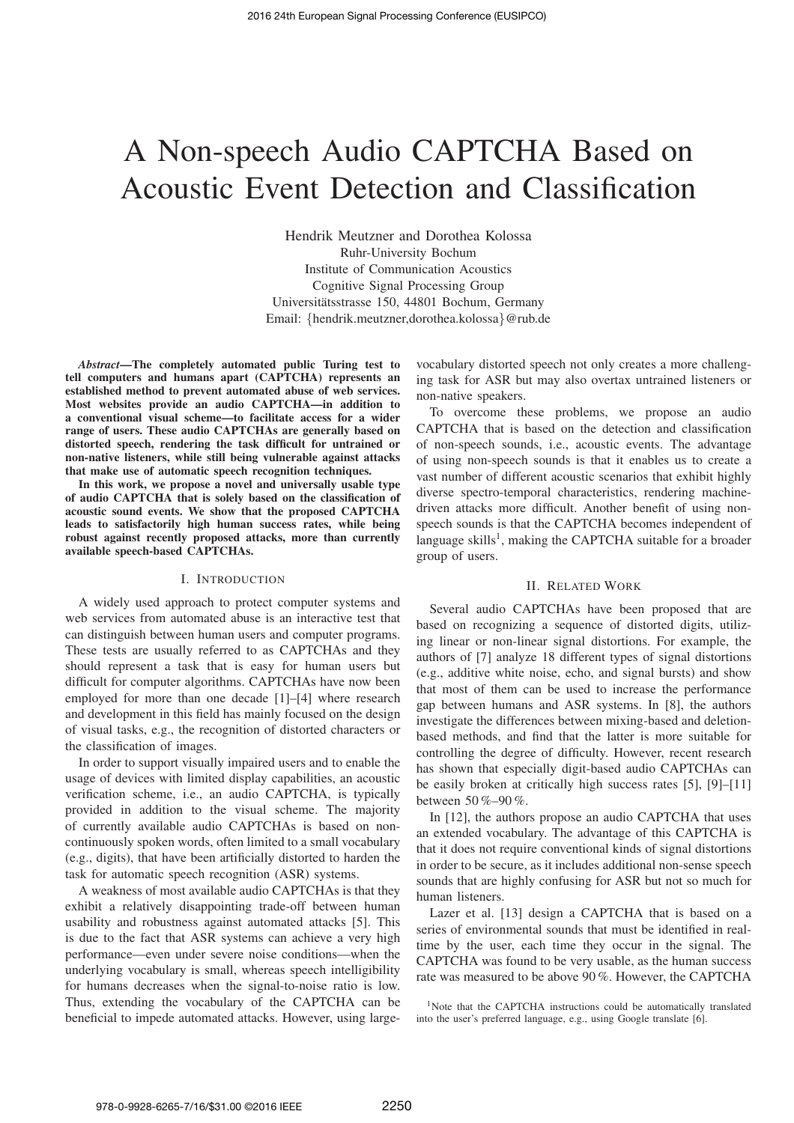# A Non-speech Audio CAPTCHA Based on Acoustic Event Detection and Classification

Hendrik Meutzner and Dorothea Kolossa Ruhr-University Bochum Institute of Communication Acoustics Cognitive Signal Processing Group Universitatsstrasse 150, 44801 Bochum, Germany ¨ Email: {hendrik.meutzner,dorothea.kolossa}@rub.de

*Abstract***—The completely automated public Turing test to tell computers and humans apart (CAPTCHA) represents an established method to prevent automated abuse of web services. Most websites provide an audio CAPTCHA—in addition to a conventional visual scheme—to facilitate access for a wider range of users. These audio CAPTCHAs are generally based on distorted speech, rendering the task difficult for untrained or non-native listeners, while still being vulnerable against attacks that make use of automatic speech recognition techniques.**

**In this work, we propose a novel and universally usable type of audio CAPTCHA that is solely based on the classification of acoustic sound events. We show that the proposed CAPTCHA leads to satisfactorily high human success rates, while being robust against recently proposed attacks, more than currently available speech-based CAPTCHAs.**

## I. INTRODUCTION

A widely used approach to protect computer systems and web services from automated abuse is an interactive test that can distinguish between human users and computer programs. These tests are usually referred to as CAPTCHAs and they should represent a task that is easy for human users but difficult for computer algorithms. CAPTCHAs have now been employed for more than one decade [1]–[4] where research and development in this field has mainly focused on the design of visual tasks, e.g., the recognition of distorted characters or the classification of images.

In order to support visually impaired users and to enable the usage of devices with limited display capabilities, an acoustic verification scheme, i.e., an audio CAPTCHA, is typically provided in addition to the visual scheme. The majority of currently available audio CAPTCHAs is based on noncontinuously spoken words, often limited to a small vocabulary (e.g., digits), that have been artificially distorted to harden the task for automatic speech recognition (ASR) systems.

A weakness of most available audio CAPTCHAs is that they exhibit a relatively disappointing trade-off between human usability and robustness against automated attacks [5]. This is due to the fact that ASR systems can achieve a very high performance—even under severe noise conditions—when the underlying vocabulary is small, whereas speech intelligibility for humans decreases when the signal-to-noise ratio is low. Thus, extending the vocabulary of the CAPTCHA can be beneficial to impede automated attacks. However, using largevocabulary distorted speech not only creates a more challenging task for ASR but may also overtax untrained listeners or non-native speakers.

To overcome these problems, we propose an audio CAPTCHA that is based on the detection and classification of non-speech sounds, i.e., acoustic events. The advantage of using non-speech sounds is that it enables us to create a vast number of different acoustic scenarios that exhibit highly diverse spectro-temporal characteristics, rendering machinedriven attacks more difficult. Another benefit of using nonspeech sounds is that the CAPTCHA becomes independent of language skills<sup>1</sup>, making the CAPTCHA suitable for a broader group of users.

### II. RELATED WORK

Several audio CAPTCHAs have been proposed that are based on recognizing a sequence of distorted digits, utilizing linear or non-linear signal distortions. For example, the authors of [7] analyze 18 different types of signal distortions (e.g., additive white noise, echo, and signal bursts) and show that most of them can be used to increase the performance gap between humans and ASR systems. In [8], the authors investigate the differences between mixing-based and deletionbased methods, and find that the latter is more suitable for controlling the degree of difficulty. However, recent research has shown that especially digit-based audio CAPTCHAs can be easily broken at critically high success rates [5], [9]–[11] between 50 %–90 %.

In [12], the authors propose an audio CAPTCHA that uses an extended vocabulary. The advantage of this CAPTCHA is that it does not require conventional kinds of signal distortions in order to be secure, as it includes additional non-sense speech sounds that are highly confusing for ASR but not so much for human listeners.

Lazer et al. [13] design a CAPTCHA that is based on a series of environmental sounds that must be identified in realtime by the user, each time they occur in the signal. The CAPTCHA was found to be very usable, as the human success rate was measured to be above 90 %. However, the CAPTCHA

<sup>1</sup>Note that the CAPTCHA instructions could be automatically translated into the user's preferred language, e.g., using Google translate [6].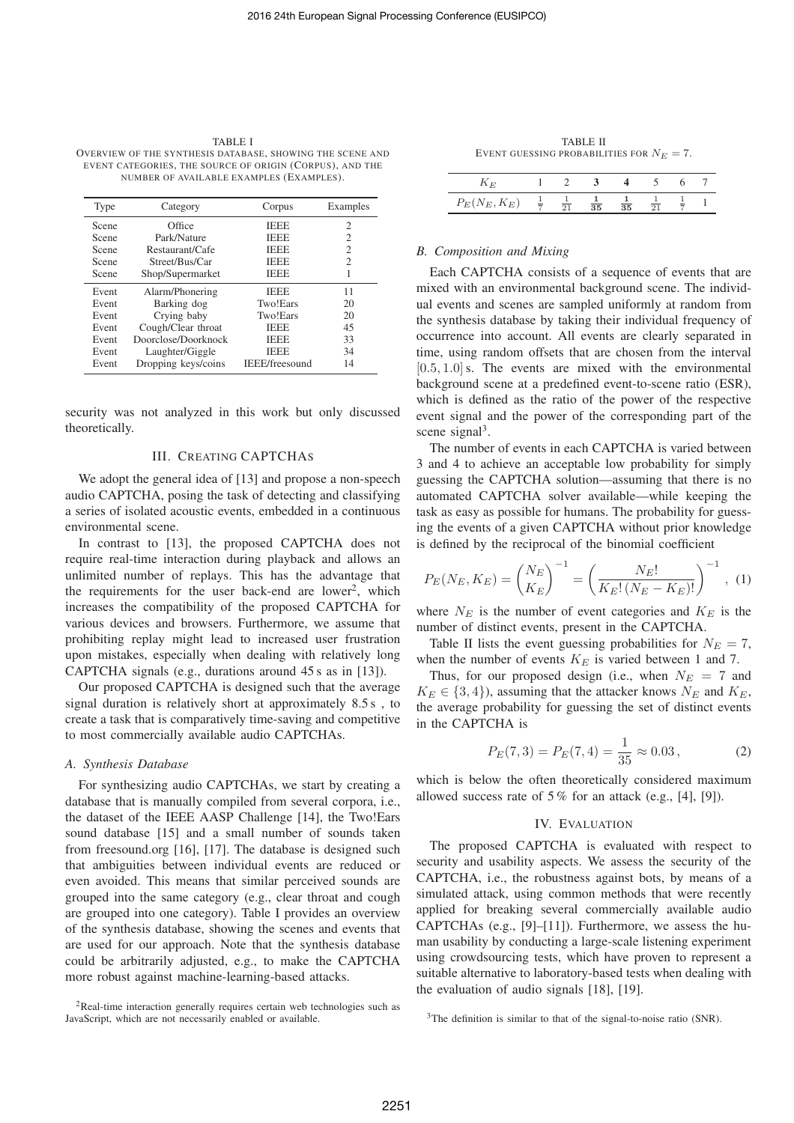TABLE I OVERVIEW OF THE SYNTHESIS DATABASE, SHOWING THE SCENE AND EVENT CATEGORIES, THE SOURCE OF ORIGIN (CORPUS), AND THE NUMBER OF AVAILABLE EXAMPLES (EXAMPLES).

| Type  | Category            | Corpus         | Examples |
|-------|---------------------|----------------|----------|
| Scene | Office              | <b>IEEE</b>    | 2        |
| Scene | Park/Nature         | <b>IEEE</b>    | 2        |
| Scene | Restaurant/Cafe     | <b>IEEE</b>    | 2        |
| Scene | Street/Bus/Car      | <b>IEEE</b>    | 2        |
| Scene | Shop/Supermarket    | <b>IEEE</b>    |          |
| Event | Alarm/Phonering     | <b>IEEE</b>    | 11       |
| Event | Barking dog         | Two!Ears       | 20       |
| Event | Crying baby         | Two!Ears       | 20       |
| Event | Cough/Clear throat  | <b>IEEE</b>    | 45       |
| Event | Doorclose/Doorknock | <b>IEEE</b>    | 33       |
| Event | Laughter/Giggle     | <b>IEEE</b>    | 34       |
| Event | Dropping keys/coins | IEEE/freesound | 14       |

security was not analyzed in this work but only discussed theoretically.

## III. CREATING CAPTCHAS

We adopt the general idea of [13] and propose a non-speech audio CAPTCHA, posing the task of detecting and classifying a series of isolated acoustic events, embedded in a continuous environmental scene.

In contrast to [13], the proposed CAPTCHA does not require real-time interaction during playback and allows an unlimited number of replays. This has the advantage that the requirements for the user back-end are lower<sup>2</sup>, which increases the compatibility of the proposed CAPTCHA for various devices and browsers. Furthermore, we assume that prohibiting replay might lead to increased user frustration upon mistakes, especially when dealing with relatively long CAPTCHA signals (e.g., durations around 45 s as in [13]).

Our proposed CAPTCHA is designed such that the average signal duration is relatively short at approximately 8.5 s , to create a task that is comparatively time-saving and competitive to most commercially available audio CAPTCHAs.

## *A. Synthesis Database*

For synthesizing audio CAPTCHAs, we start by creating a database that is manually compiled from several corpora, i.e., the dataset of the IEEE AASP Challenge [14], the Two!Ears sound database [15] and a small number of sounds taken from freesound.org [16], [17]. The database is designed such that ambiguities between individual events are reduced or even avoided. This means that similar perceived sounds are grouped into the same category (e.g., clear throat and cough are grouped into one category). Table I provides an overview of the synthesis database, showing the scenes and events that are used for our approach. Note that the synthesis database could be arbitrarily adjusted, e.g., to make the CAPTCHA more robust against machine-learning-based attacks.

<sup>2</sup>Real-time interaction generally requires certain web technologies such as JavaScript, which are not necessarily enabled or available.

|                                            | <b>TABLE II</b> |  |  |
|--------------------------------------------|-----------------|--|--|
| EVENT GUESSING PROBABILITIES FOR $N_E=7$ . |                 |  |  |

| $\mathbf{r}$                  |  |                 |  |  |
|-------------------------------|--|-----------------|--|--|
| $P_E(N_E, K_E)$ $\frac{1}{7}$ |  | $\overline{35}$ |  |  |

## *B. Composition and Mixing*

Each CAPTCHA consists of a sequence of events that are mixed with an environmental background scene. The individual events and scenes are sampled uniformly at random from the synthesis database by taking their individual frequency of occurrence into account. All events are clearly separated in time, using random offsets that are chosen from the interval  $[0.5, 1.0]$  s. The events are mixed with the environmental background scene at a predefined event-to-scene ratio (ESR), which is defined as the ratio of the power of the respective event signal and the power of the corresponding part of the scene signal<sup>3</sup>.

The number of events in each CAPTCHA is varied between 3 and 4 to achieve an acceptable low probability for simply guessing the CAPTCHA solution—assuming that there is no automated CAPTCHA solver available—while keeping the task as easy as possible for humans. The probability for guessing the events of a given CAPTCHA without prior knowledge is defined by the reciprocal of the binomial coefficient

$$
P_E(N_E, K_E) = \left(\frac{N_E}{K_E}\right)^{-1} = \left(\frac{N_E!}{K_E!(N_E - K_E)!}\right)^{-1}, (1)
$$

where  $N_E$  is the number of event categories and  $K_E$  is the number of distinct events, present in the CAPTCHA.

Table II lists the event guessing probabilities for  $N_E = 7$ , when the number of events  $K_E$  is varied between 1 and 7.

Thus, for our proposed design (i.e., when  $N_E = 7$  and  $K_E \in \{3, 4\}$ , assuming that the attacker knows  $N_E$  and  $K_E$ , the average probability for guessing the set of distinct events in the CAPTCHA is

$$
P_E(7,3) = P_E(7,4) = \frac{1}{35} \approx 0.03\,,\tag{2}
$$

which is below the often theoretically considered maximum allowed success rate of  $5\%$  for an attack (e.g., [4], [9]).

## IV. EVALUATION

The proposed CAPTCHA is evaluated with respect to security and usability aspects. We assess the security of the CAPTCHA, i.e., the robustness against bots, by means of a simulated attack, using common methods that were recently applied for breaking several commercially available audio CAPTCHAs (e.g., [9]–[11]). Furthermore, we assess the human usability by conducting a large-scale listening experiment using crowdsourcing tests, which have proven to represent a suitable alternative to laboratory-based tests when dealing with the evaluation of audio signals [18], [19].

<sup>3</sup>The definition is similar to that of the signal-to-noise ratio (SNR).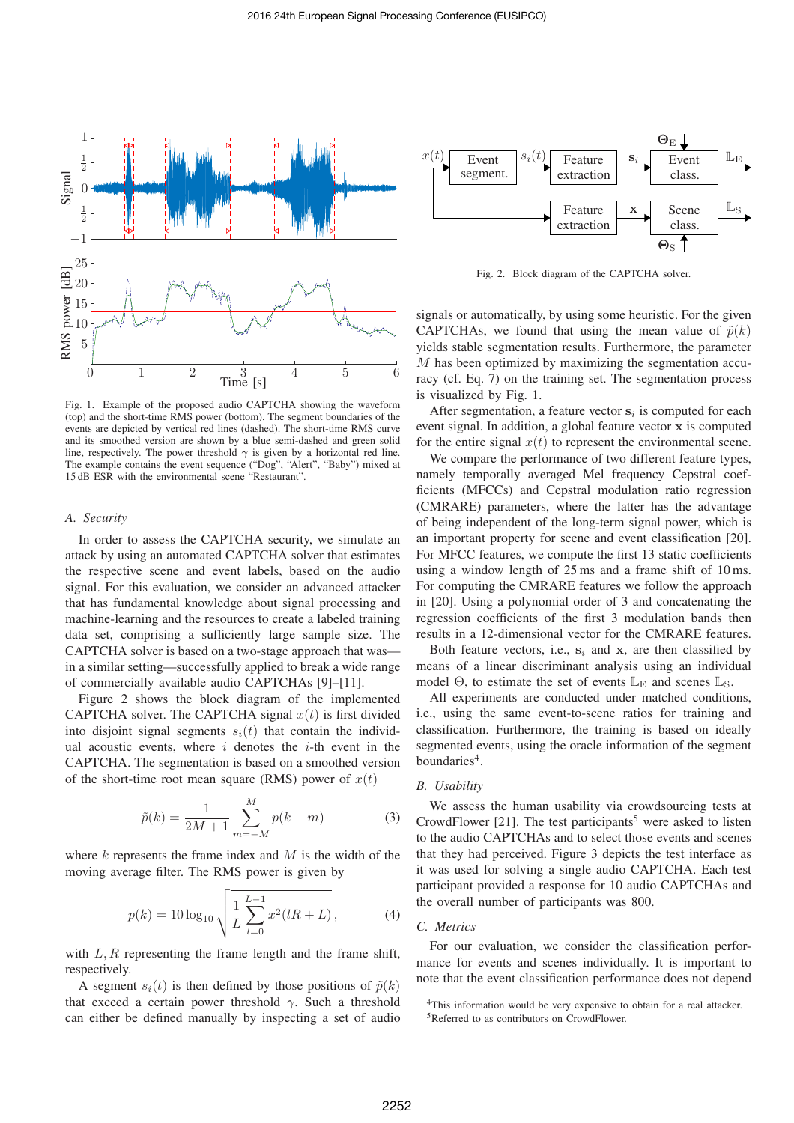

Fig. 1. Example of the proposed audio CAPTCHA showing the waveform (top) and the short-time RMS power (bottom). The segment boundaries of the events are depicted by vertical red lines (dashed). The short-time RMS curve and its smoothed version are shown by a blue semi-dashed and green solid line, respectively. The power threshold  $\gamma$  is given by a horizontal red line. The example contains the event sequence ("Dog", "Alert", "Baby") mixed at 15 dB ESR with the environmental scene "Restaurant".

## *A. Security*

In order to assess the CAPTCHA security, we simulate an attack by using an automated CAPTCHA solver that estimates the respective scene and event labels, based on the audio signal. For this evaluation, we consider an advanced attacker that has fundamental knowledge about signal processing and machine-learning and the resources to create a labeled training data set, comprising a sufficiently large sample size. The CAPTCHA solver is based on a two-stage approach that was in a similar setting—successfully applied to break a wide range of commercially available audio CAPTCHAs [9]–[11].

Figure 2 shows the block diagram of the implemented CAPTCHA solver. The CAPTCHA signal  $x(t)$  is first divided into disjoint signal segments  $s_i(t)$  that contain the individual acoustic events, where  $i$  denotes the  $i$ -th event in the CAPTCHA. The segmentation is based on a smoothed version of the short-time root mean square (RMS) power of  $x(t)$ 

$$
\tilde{p}(k) = \frac{1}{2M+1} \sum_{m=-M}^{M} p(k-m)
$$
\n(3)

where  $k$  represents the frame index and  $M$  is the width of the moving average filter. The RMS power is given by

$$
p(k) = 10\log_{10}\sqrt{\frac{1}{L}\sum_{l=0}^{L-1}x^2(lR+L)},
$$
\n(4)

with  $L, R$  representing the frame length and the frame shift, respectively.

A segment  $s_i(t)$  is then defined by those positions of  $\tilde{p}(k)$ that exceed a certain power threshold  $\gamma$ . Such a threshold can either be defined manually by inspecting a set of audio



Fig. 2. Block diagram of the CAPTCHA solver.

signals or automatically, by using some heuristic. For the given CAPTCHAs, we found that using the mean value of  $\tilde{p}(k)$ yields stable segmentation results. Furthermore, the parameter M has been optimized by maximizing the segmentation accuracy (cf. Eq. 7) on the training set. The segmentation process is visualized by Fig. 1.

After segmentation, a feature vector  $s_i$  is computed for each event signal. In addition, a global feature vector x is computed for the entire signal  $x(t)$  to represent the environmental scene.

We compare the performance of two different feature types, namely temporally averaged Mel frequency Cepstral coefficients (MFCCs) and Cepstral modulation ratio regression (CMRARE) parameters, where the latter has the advantage of being independent of the long-term signal power, which is an important property for scene and event classification [20]. For MFCC features, we compute the first 13 static coefficients using a window length of 25 ms and a frame shift of 10 ms. For computing the CMRARE features we follow the approach in [20]. Using a polynomial order of 3 and concatenating the regression coefficients of the first 3 modulation bands then results in a 12-dimensional vector for the CMRARE features.

Both feature vectors, i.e.,  $s_i$  and x, are then classified by means of a linear discriminant analysis using an individual model  $\Theta$ , to estimate the set of events  $\mathbb{L}_{E}$  and scenes  $\mathbb{L}_{S}$ .

All experiments are conducted under matched conditions, i.e., using the same event-to-scene ratios for training and classification. Furthermore, the training is based on ideally segmented events, using the oracle information of the segment boundaries<sup>4</sup>.

#### *B. Usability*

We assess the human usability via crowdsourcing tests at CrowdFlower [21]. The test participants<sup>5</sup> were asked to listen to the audio CAPTCHAs and to select those events and scenes that they had perceived. Figure 3 depicts the test interface as it was used for solving a single audio CAPTCHA. Each test participant provided a response for 10 audio CAPTCHAs and the overall number of participants was 800.

## *C. Metrics*

For our evaluation, we consider the classification performance for events and scenes individually. It is important to note that the event classification performance does not depend

<sup>4</sup>This information would be very expensive to obtain for a real attacker. <sup>5</sup>Referred to as contributors on CrowdFlower.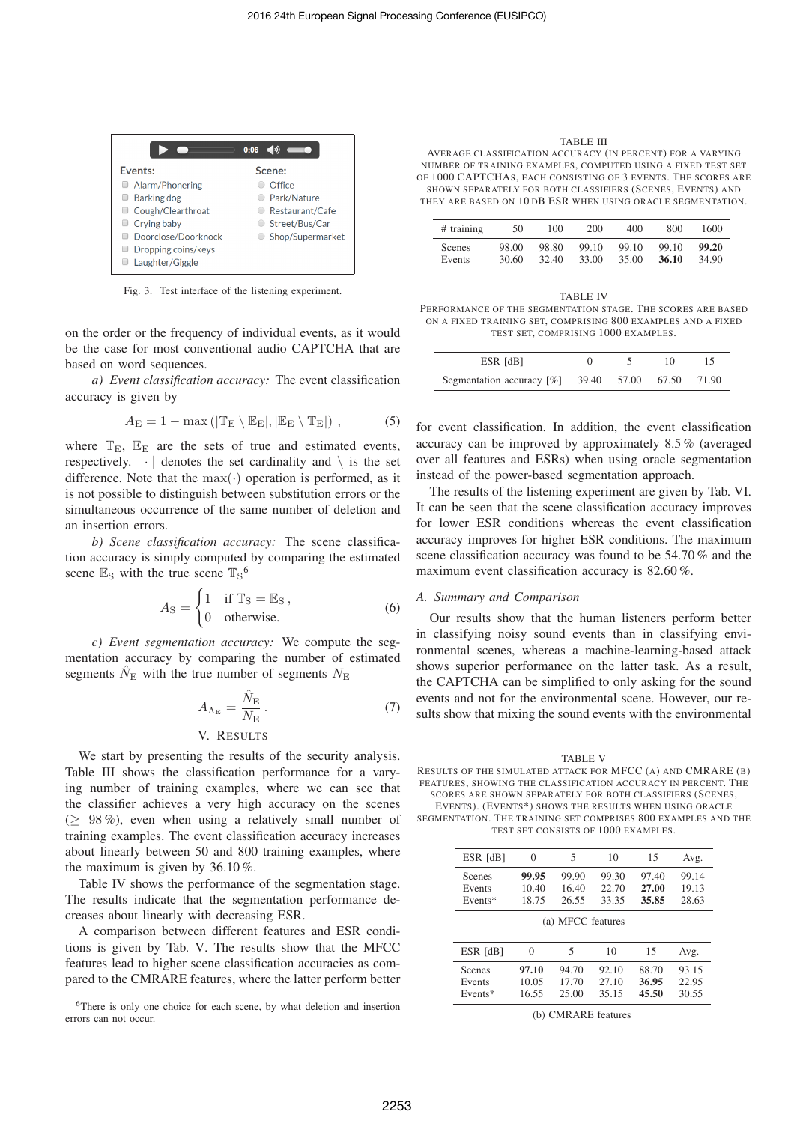|                     | 0:06             |
|---------------------|------------------|
| Events:             | Scene:           |
| Alarm/Phonering     | Office           |
| Barking dog         | Park/Nature      |
| Cough/Clearthroat   | Restaurant/Cafe  |
| Crying baby         | Street/Bus/Car   |
| Doorclose/Doorknock | Shop/Supermarket |
| Dropping coins/keys |                  |
| Laughter/Giggle     |                  |

Fig. 3. Test interface of the listening experiment.

on the order or the frequency of individual events, as it would be the case for most conventional audio CAPTCHA that are based on word sequences.

*a) Event classification accuracy:* The event classification accuracy is given by

$$
A_{\rm E} = 1 - \max(|\mathbb{T}_{\rm E} \setminus \mathbb{E}_{\rm E}|, |\mathbb{E}_{\rm E} \setminus \mathbb{T}_{\rm E}|), \tag{5}
$$

where  $T_{\text{E}}$ ,  $E_{\text{E}}$  are the sets of true and estimated events, respectively.  $|\cdot|$  denotes the set cardinality and  $\setminus$  is the set difference. Note that the  $max(\cdot)$  operation is performed, as it is not possible to distinguish between substitution errors or the simultaneous occurrence of the same number of deletion and an insertion errors.

*b) Scene classification accuracy:* The scene classification accuracy is simply computed by comparing the estimated scene  $\mathbb{E}_S$  with the true scene  $\mathbb{T}_S$ <sup>6</sup>

$$
A_{\rm S} = \begin{cases} 1 & \text{if } \mathbb{T}_{\rm S} = \mathbb{E}_{\rm S} \,, \\ 0 & \text{otherwise.} \end{cases} \tag{6}
$$

*c) Event segmentation accuracy:* We compute the segmentation accuracy by comparing the number of estimated segments  $\hat{N}_{\rm E}$  with the true number of segments  $N_{\rm E}$ 

$$
A_{\Lambda_{\rm E}} = \frac{\hat{N}_{\rm E}}{N_{\rm E}}\,. \tag{7}
$$

# V. RESULTS

We start by presenting the results of the security analysis. Table III shows the classification performance for a varying number of training examples, where we can see that the classifier achieves a very high accuracy on the scenes  $(298\%)$ , even when using a relatively small number of training examples. The event classification accuracy increases about linearly between 50 and 800 training examples, where the maximum is given by 36.10 %.

Table IV shows the performance of the segmentation stage. The results indicate that the segmentation performance decreases about linearly with decreasing ESR.

A comparison between different features and ESR conditions is given by Tab. V. The results show that the MFCC features lead to higher scene classification accuracies as compared to the CMRARE features, where the latter perform better

<sup>6</sup>There is only one choice for each scene, by what deletion and insertion errors can not occur.

TABLE III

AVERAGE CLASSIFICATION ACCURACY (IN PERCENT) FOR A VARYING NUMBER OF TRAINING EXAMPLES, COMPUTED USING A FIXED TEST SET OF 1000 CAPTCHAS, EACH CONSISTING OF 3 EVENTS. THE SCORES ARE SHOWN SEPARATELY FOR BOTH CLASSIFIERS (SCENES, EVENTS) AND THEY ARE BASED ON 10 DB ESR WHEN USING ORACLE SEGMENTATION.

| $#$ training  | 50    | 100   | 200   | 400   | 800   | 1600  |
|---------------|-------|-------|-------|-------|-------|-------|
| <b>Scenes</b> | 98.00 | 98.80 | 99.10 | 99.10 | 99.10 | 99.20 |
| Events        | 30.60 | 32.40 | 33.00 | 35.00 | 36.10 | 34.90 |

| TABLE IV                                                     |
|--------------------------------------------------------------|
| PERFORMANCE OF THE SEGMENTATION STAGE. THE SCORES ARE BASED  |
| ON A FIXED TRAINING SET, COMPRISING 800 EXAMPLES AND A FIXED |
| TEST SET. COMPRISING 1000 EXAMPLES.                          |

| ESR [dB]                                      |  |       |
|-----------------------------------------------|--|-------|
| Segmentation accuracy $[%]$ 39.40 57.00 67.50 |  | 71.90 |

for event classification. In addition, the event classification accuracy can be improved by approximately 8.5 % (averaged over all features and ESRs) when using oracle segmentation instead of the power-based segmentation approach.

The results of the listening experiment are given by Tab. VI. It can be seen that the scene classification accuracy improves for lower ESR conditions whereas the event classification accuracy improves for higher ESR conditions. The maximum scene classification accuracy was found to be 54.70 % and the maximum event classification accuracy is 82.60%.

## *A. Summary and Comparison*

Our results show that the human listeners perform better in classifying noisy sound events than in classifying environmental scenes, whereas a machine-learning-based attack shows superior performance on the latter task. As a result, the CAPTCHA can be simplified to only asking for the sound events and not for the environmental scene. However, our results show that mixing the sound events with the environmental

TABLE V RESULTS OF THE SIMULATED ATTACK FOR MFCC (A) AND CMRARE (B) FEATURES, SHOWING THE CLASSIFICATION ACCURACY IN PERCENT. THE SCORES ARE SHOWN SEPARATELY FOR BOTH CLASSIFIERS (SCENES,

EVENTS). (EVENTS\*) SHOWS THE RESULTS WHEN USING ORACLE SEGMENTATION. THE TRAINING SET COMPRISES 800 EXAMPLES AND THE

TEST SET CONSISTS OF 1000 EXAMPLES.

| ESR [dB]                    | $\theta$                | C.                      | 10                      | 15                      | Avg.                    |  |  |
|-----------------------------|-------------------------|-------------------------|-------------------------|-------------------------|-------------------------|--|--|
| Scenes<br>Events<br>Events* | 99.95<br>10.40<br>18.75 | 99.90<br>16.40<br>26.55 | 99.30<br>22.70<br>33.35 | 97.40<br>27.00<br>35.85 | 99.14<br>19.13<br>28.63 |  |  |
| (a) MFCC features           |                         |                         |                         |                         |                         |  |  |

| ESR [dB]      | $\theta$ | ć     | 10    | 15    | Avg.  |
|---------------|----------|-------|-------|-------|-------|
| <b>Scenes</b> | 97.10    | 94.70 | 92.10 | 88.70 | 93.15 |
| Events        | 10.05    | 17.70 | 27.10 | 36.95 | 22.95 |
| $Events*$     | 16.55    | 25.00 | 35.15 | 45.50 | 30.55 |

(b) CMRARE features